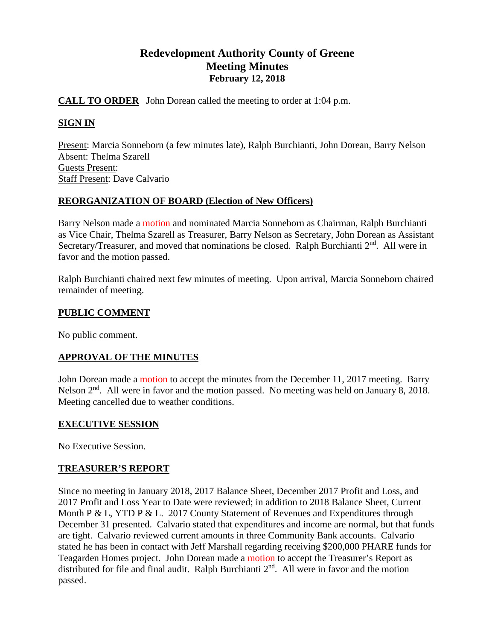# **Redevelopment Authority County of Greene Meeting Minutes February 12, 2018**

## **CALL TO ORDER** John Dorean called the meeting to order at 1:04 p.m.

### **SIGN IN**

Present: Marcia Sonneborn (a few minutes late), Ralph Burchianti, John Dorean, Barry Nelson Absent: Thelma Szarell Guests Present: Staff Present: Dave Calvario

### **REORGANIZATION OF BOARD (Election of New Officers)**

Barry Nelson made a motion and nominated Marcia Sonneborn as Chairman, Ralph Burchianti as Vice Chair, Thelma Szarell as Treasurer, Barry Nelson as Secretary, John Dorean as Assistant Secretary/Treasurer, and moved that nominations be closed. Ralph Burchianti 2<sup>nd</sup>. All were in favor and the motion passed.

Ralph Burchianti chaired next few minutes of meeting. Upon arrival, Marcia Sonneborn chaired remainder of meeting.

### **PUBLIC COMMENT**

No public comment.

## **APPROVAL OF THE MINUTES**

John Dorean made a motion to accept the minutes from the December 11, 2017 meeting. Barry Nelson  $2<sup>nd</sup>$ . All were in favor and the motion passed. No meeting was held on January 8, 2018. Meeting cancelled due to weather conditions.

### **EXECUTIVE SESSION**

No Executive Session.

### **TREASURER'S REPORT**

Since no meeting in January 2018, 2017 Balance Sheet, December 2017 Profit and Loss, and 2017 Profit and Loss Year to Date were reviewed; in addition to 2018 Balance Sheet, Current Month P & L, YTD P & L. 2017 County Statement of Revenues and Expenditures through December 31 presented. Calvario stated that expenditures and income are normal, but that funds are tight. Calvario reviewed current amounts in three Community Bank accounts. Calvario stated he has been in contact with Jeff Marshall regarding receiving \$200,000 PHARE funds for Teagarden Homes project. John Dorean made a motion to accept the Treasurer's Report as distributed for file and final audit. Ralph Burchianti 2<sup>nd</sup>. All were in favor and the motion passed.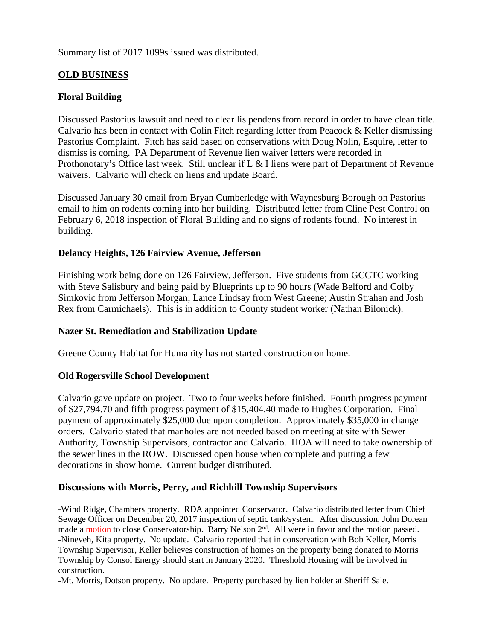Summary list of 2017 1099s issued was distributed.

## **OLD BUSINESS**

## **Floral Building**

Discussed Pastorius lawsuit and need to clear lis pendens from record in order to have clean title. Calvario has been in contact with Colin Fitch regarding letter from Peacock & Keller dismissing Pastorius Complaint. Fitch has said based on conservations with Doug Nolin, Esquire, letter to dismiss is coming. PA Department of Revenue lien waiver letters were recorded in Prothonotary's Office last week. Still unclear if L & I liens were part of Department of Revenue waivers. Calvario will check on liens and update Board.

Discussed January 30 email from Bryan Cumberledge with Waynesburg Borough on Pastorius email to him on rodents coming into her building. Distributed letter from Cline Pest Control on February 6, 2018 inspection of Floral Building and no signs of rodents found. No interest in building.

### **Delancy Heights, 126 Fairview Avenue, Jefferson**

Finishing work being done on 126 Fairview, Jefferson. Five students from GCCTC working with Steve Salisbury and being paid by Blueprints up to 90 hours (Wade Belford and Colby Simkovic from Jefferson Morgan; Lance Lindsay from West Greene; Austin Strahan and Josh Rex from Carmichaels). This is in addition to County student worker (Nathan Bilonick).

### **Nazer St. Remediation and Stabilization Update**

Greene County Habitat for Humanity has not started construction on home.

### **Old Rogersville School Development**

Calvario gave update on project. Two to four weeks before finished. Fourth progress payment of \$27,794.70 and fifth progress payment of \$15,404.40 made to Hughes Corporation. Final payment of approximately \$25,000 due upon completion. Approximately \$35,000 in change orders. Calvario stated that manholes are not needed based on meeting at site with Sewer Authority, Township Supervisors, contractor and Calvario. HOA will need to take ownership of the sewer lines in the ROW. Discussed open house when complete and putting a few decorations in show home. Current budget distributed.

### **Discussions with Morris, Perry, and Richhill Township Supervisors**

-Wind Ridge, Chambers property. RDA appointed Conservator. Calvario distributed letter from Chief Sewage Officer on December 20, 2017 inspection of septic tank/system. After discussion, John Dorean made a motion to close Conservatorship. Barry Nelson 2<sup>nd</sup>. All were in favor and the motion passed. -Nineveh, Kita property. No update. Calvario reported that in conservation with Bob Keller, Morris Township Supervisor, Keller believes construction of homes on the property being donated to Morris Township by Consol Energy should start in January 2020. Threshold Housing will be involved in construction.

-Mt. Morris, Dotson property. No update. Property purchased by lien holder at Sheriff Sale.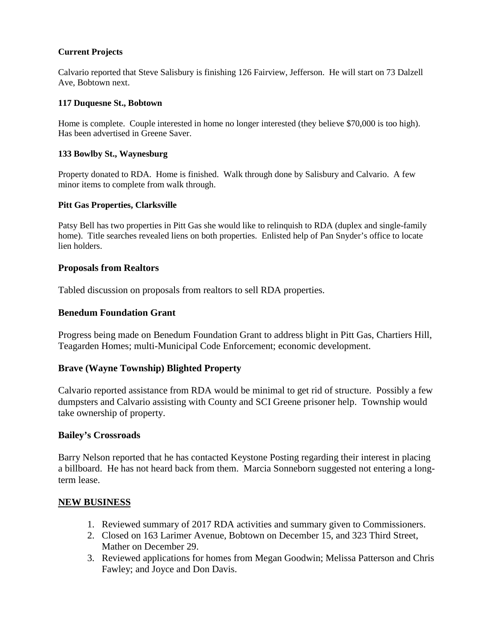#### **Current Projects**

Calvario reported that Steve Salisbury is finishing 126 Fairview, Jefferson. He will start on 73 Dalzell Ave, Bobtown next.

#### **117 Duquesne St., Bobtown**

Home is complete. Couple interested in home no longer interested (they believe \$70,000 is too high). Has been advertised in Greene Saver.

#### **133 Bowlby St., Waynesburg**

Property donated to RDA. Home is finished. Walk through done by Salisbury and Calvario. A few minor items to complete from walk through.

#### **Pitt Gas Properties, Clarksville**

Patsy Bell has two properties in Pitt Gas she would like to relinquish to RDA (duplex and single-family home). Title searches revealed liens on both properties. Enlisted help of Pan Snyder's office to locate lien holders.

#### **Proposals from Realtors**

Tabled discussion on proposals from realtors to sell RDA properties.

#### **Benedum Foundation Grant**

Progress being made on Benedum Foundation Grant to address blight in Pitt Gas, Chartiers Hill, Teagarden Homes; multi-Municipal Code Enforcement; economic development.

#### **Brave (Wayne Township) Blighted Property**

Calvario reported assistance from RDA would be minimal to get rid of structure. Possibly a few dumpsters and Calvario assisting with County and SCI Greene prisoner help. Township would take ownership of property.

#### **Bailey's Crossroads**

Barry Nelson reported that he has contacted Keystone Posting regarding their interest in placing a billboard. He has not heard back from them. Marcia Sonneborn suggested not entering a longterm lease.

#### **NEW BUSINESS**

- 1. Reviewed summary of 2017 RDA activities and summary given to Commissioners.
- 2. Closed on 163 Larimer Avenue, Bobtown on December 15, and 323 Third Street, Mather on December 29.
- 3. Reviewed applications for homes from Megan Goodwin; Melissa Patterson and Chris Fawley; and Joyce and Don Davis.